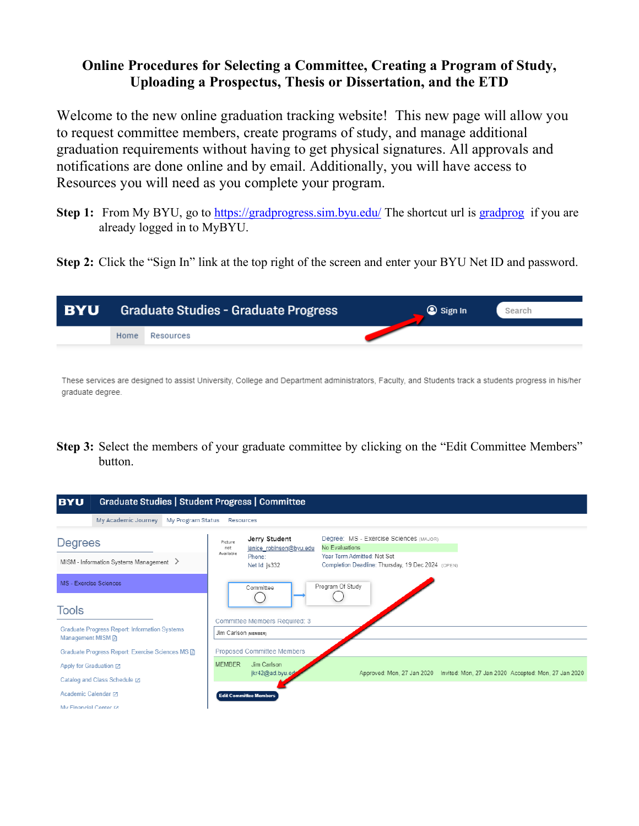# **Online Procedures for Selecting a Committee, Creating a Program of Study, Uploading a Prospectus, Thesis or Dissertation, and the ETD**

Welcome to the new online graduation tracking website! This new page will allow you to request committee members, create programs of study, and manage additional graduation requirements without having to get physical signatures. All approvals and notifications are done online and by email. Additionally, you will have access to Resources you will need as you complete your program.

- **Step 1:** From My BYU, go to https://gradprogress.sim.byu.edu/ The shortcut url is gradprog if you are already logged in to MyBYU.
- **Step 2:** Click the "Sign In" link at the top right of the screen and enter your BYU Net ID and password.



These services are designed to assist University, College and Department administrators, Faculty, and Students track a students progress in his/her graduate degree.

**Step 3:** Select the members of your graduate committee by clicking on the "Edit Committee Members" button.

| Graduate Studies   Student Progress   Committee<br><b>BYU</b>             |                                                                                                                                                                                                                                                    |  |  |  |
|---------------------------------------------------------------------------|----------------------------------------------------------------------------------------------------------------------------------------------------------------------------------------------------------------------------------------------------|--|--|--|
| My Academic Journey<br>My Program Status                                  | Resources                                                                                                                                                                                                                                          |  |  |  |
| <b>Degrees</b><br>MISM - Information Systems Management >                 | Degree: MS - Exercise Sciences (MAJOR)<br>Jerry Student<br>Picture<br>No Evaluations<br>janice robinson@byu.edu<br>not<br>Available<br>Year Term Admitted: Not Set<br>Phone:<br>Completion Deadline: Thursday, 19 Dec 2024 (OPEN)<br>Net Id: js332 |  |  |  |
| MS - Exercise Sciences                                                    | Program Of Study<br>Committee                                                                                                                                                                                                                      |  |  |  |
| Tools                                                                     | Committee Members Required: 3                                                                                                                                                                                                                      |  |  |  |
| <b>Graduate Progress Report: Information Systems</b><br>Management MISM A | Jim Carlson (MEMBER)                                                                                                                                                                                                                               |  |  |  |
| Graduate Progress Report: Exercise Sciences MS A                          | Proposed Committee Members                                                                                                                                                                                                                         |  |  |  |
| Apply for Graduation ⊠                                                    | Jim Carlson<br><b>MEMBER</b>                                                                                                                                                                                                                       |  |  |  |
| Catalog and Class Schedule ⊠                                              | jkr42@ad.byu.ed<br>Approved: Mon, 27 Jan 2020    Invited: Mon, 27 Jan 2020    Accepted: Mon, 27 Jan 2020                                                                                                                                           |  |  |  |
| Academic Calendar [Z]                                                     | <b>Edit Committee Members</b>                                                                                                                                                                                                                      |  |  |  |
| My Financial Center ra                                                    |                                                                                                                                                                                                                                                    |  |  |  |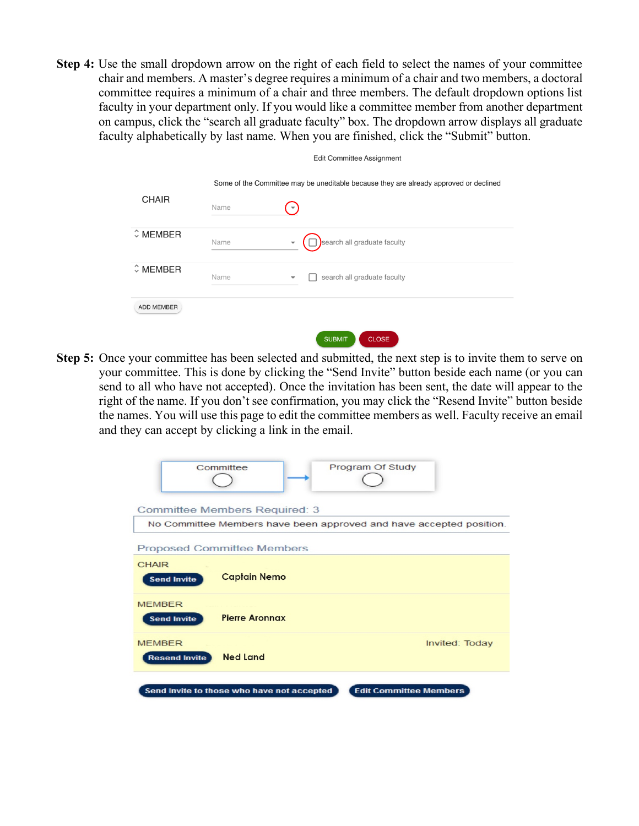**Step 4:** Use the small dropdown arrow on the right of each field to select the names of your committee chair and members. A master's degree requires a minimum of a chair and two members, a doctoral committee requires a minimum of a chair and three members. The default dropdown options list faculty in your department only. If you would like a committee member from another department on campus, click the "search all graduate faculty" box. The dropdown arrow displays all graduate faculty alphabetically by last name. When you are finished, click the "Submit" button.

 $\Box$ ii Osmanitta - Assimum ant

|                           |      | EUIL COMMITTEE ASSIGNMENT                                                             |
|---------------------------|------|---------------------------------------------------------------------------------------|
| <b>CHAIR</b>              | Name | Some of the Committee may be uneditable because they are already approved or declined |
| $\hat{\mathbf{v}}$ MEMBER | Name | search all graduate faculty<br>$\overline{\phantom{a}}$                               |
| $\hat{v}$ MEMBER          | Name | search all graduate faculty                                                           |
| ADD MEMBER                |      | <b>SURMIT</b><br>CLOSE.                                                               |

**Step 5:** Once your committee has been selected and submitted, the next step is to invite them to serve on your committee. This is done by clicking the "Send Invite" button beside each name (or you can send to all who have not accepted). Once the invitation has been sent, the date will appear to the right of the name. If you don't see confirmation, you may click the "Resend Invite" button beside the names. You will use this page to edit the committee members as well. Faculty receive an email and they can accept by clicking a link in the email.

| Program Of Study<br>Committee                                               |
|-----------------------------------------------------------------------------|
| <b>Committee Members Required: 3</b>                                        |
| No Committee Members have been approved and have accepted position.         |
| <b>Proposed Committee Members</b>                                           |
| <b>CHAIR</b><br><b>Captain Nemo</b><br><b>Send Invite</b>                   |
| <b>MEMBER</b><br><b>Pierre Aronnax</b><br><b>Send Invite</b>                |
| <b>MEMBER</b><br>Invited: Today<br><b>Ned Land</b><br><b>Resend Invite</b>  |
| Send Invite to those who have not accepted<br><b>Edit Committee Members</b> |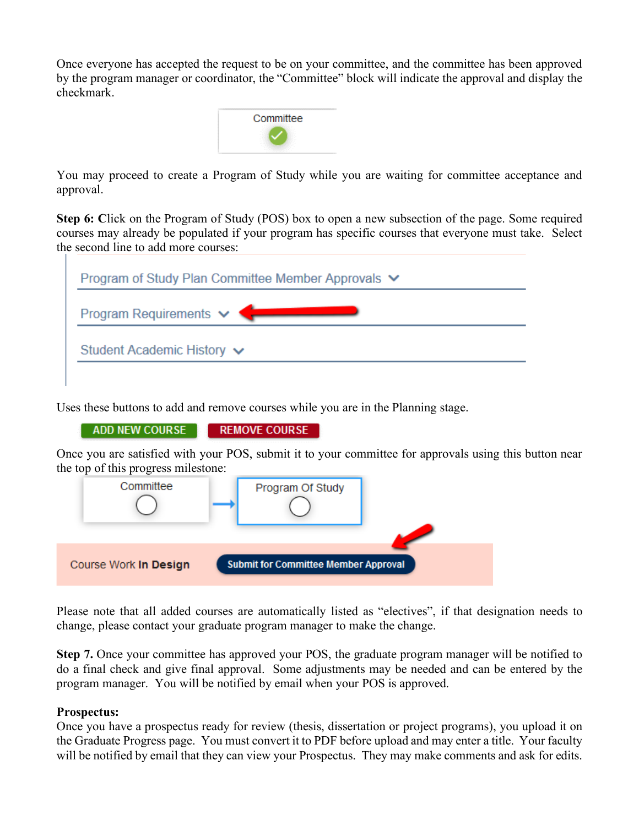Once everyone has accepted the request to be on your committee, and the committee has been approved by the program manager or coordinator, the "Committee" block will indicate the approval and display the checkmark.



You may proceed to create a Program of Study while you are waiting for committee acceptance and approval.

**Step 6:** Click on the Program of Study (POS) box to open a new subsection of the page. Some required courses may already be populated if your program has specific courses that everyone must take. Select the second line to add more courses:

| Program of Study Plan Committee Member Approvals ▼ |  |
|----------------------------------------------------|--|
| Program Requirements $\vee$                        |  |
| Student Academic History ↓                         |  |

Uses these buttons to add and remove courses while you are in the Planning stage.

**ADD NEW COURSE REMOVE COURSE** 

Once you are satisfied with your POS, submit it to your committee for approvals using this button near the top of this progress milestone:



Please note that all added courses are automatically listed as "electives", if that designation needs to change, please contact your graduate program manager to make the change.

**Step 7.** Once your committee has approved your POS, the graduate program manager will be notified to do a final check and give final approval. Some adjustments may be needed and can be entered by the program manager. You will be notified by email when your POS is approved.

#### **Prospectus:**

Once you have a prospectus ready for review (thesis, dissertation or project programs), you upload it on the Graduate Progress page. You must convert it to PDF before upload and may enter a title. Your faculty will be notified by email that they can view your Prospectus. They may make comments and ask for edits.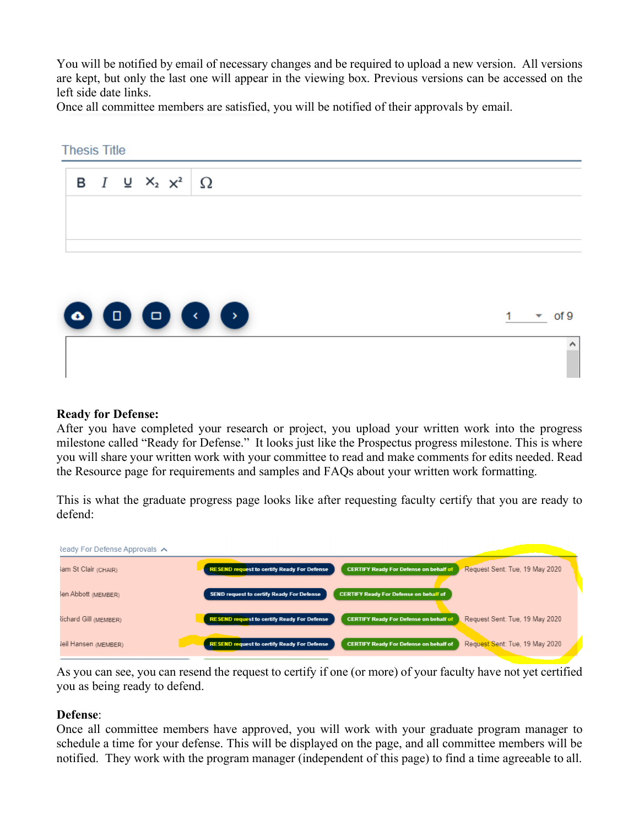You will be notified by email of necessary changes and be required to upload a new version. All versions are kept, but only the last one will appear in the viewing box. Previous versions can be accessed on the left side date links.

Once all committee members are satisfied, you will be notified of their approvals by email.

# **Thesis Title**  $I \subseteq X_2 \times^2$ в Ω



## **Ready for Defense:**

After you have completed your research or project, you upload your written work into the progress milestone called "Ready for Defense." It looks just like the Prospectus progress milestone. This is where you will share your written work with your committee to read and make comments for edits needed. Read the Resource page for requirements and samples and FAQs about your written work formatting.

This is what the graduate progress page looks like after requesting faculty certify that you are ready to defend:



As you can see, you can resend the request to certify if one (or more) of your faculty have not yet certified you as being ready to defend.

#### **Defense**:

Once all committee members have approved, you will work with your graduate program manager to schedule a time for your defense. This will be displayed on the page, and all committee members will be notified. They work with the program manager (independent of this page) to find a time agreeable to all.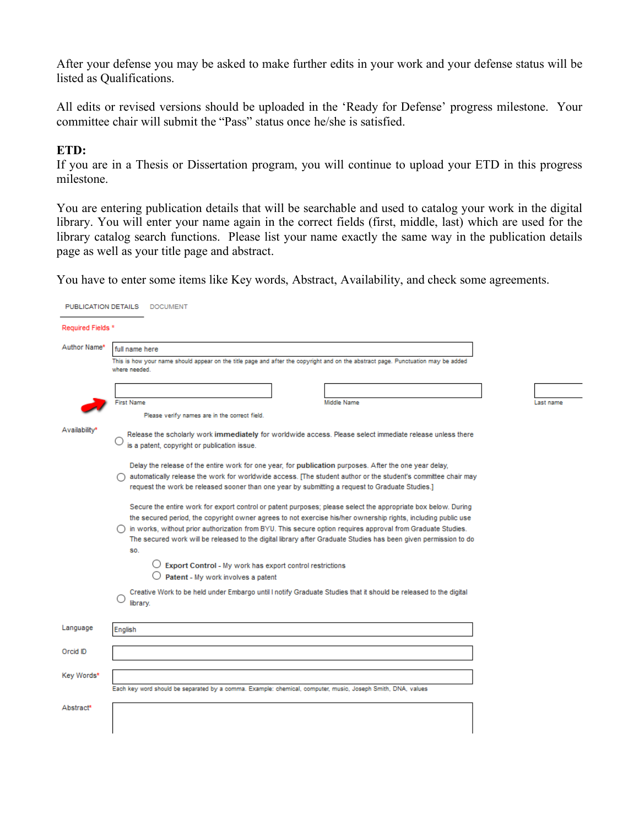After your defense you may be asked to make further edits in your work and your defense status will be listed as Qualifications.

All edits or revised versions should be uploaded in the 'Ready for Defense' progress milestone. Your committee chair will submit the "Pass" status once he/she is satisfied.

#### **ETD:**

PUBLICATION DETAILS DOCUMENT

If you are in a Thesis or Dissertation program, you will continue to upload your ETD in this progress milestone.

You are entering publication details that will be searchable and used to catalog your work in the digital library. You will enter your name again in the correct fields (first, middle, last) which are used for the library catalog search functions. Please list your name exactly the same way in the publication details page as well as your title page and abstract.

You have to enter some items like Key words, Abstract, Availability, and check some agreements.

| Required Fields * |                                                                                                                                                                                                                                                                                                                                               |  |           |  |  |  |
|-------------------|-----------------------------------------------------------------------------------------------------------------------------------------------------------------------------------------------------------------------------------------------------------------------------------------------------------------------------------------------|--|-----------|--|--|--|
| Author Name*      | full name here                                                                                                                                                                                                                                                                                                                                |  |           |  |  |  |
|                   | This is how your name should appear on the title page and after the copyright and on the abstract page. Punctuation may be added<br>where needed.                                                                                                                                                                                             |  |           |  |  |  |
|                   |                                                                                                                                                                                                                                                                                                                                               |  |           |  |  |  |
|                   | <b>First Name</b><br>Middle Name                                                                                                                                                                                                                                                                                                              |  | Last name |  |  |  |
|                   | Please verify names are in the correct field.                                                                                                                                                                                                                                                                                                 |  |           |  |  |  |
| Availabilitv*     | Release the scholarly work immediately for worldwide access. Please select immediate release unless there<br>is a patent, copyright or publication issue.                                                                                                                                                                                     |  |           |  |  |  |
|                   | Delay the release of the entire work for one year, for publication purposes. After the one year delay,<br>automatically release the work for worldwide access. [The student author or the student's committee chair may<br>request the work be released sooner than one year by submitting a request to Graduate Studies.]                    |  |           |  |  |  |
|                   | Secure the entire work for export control or patent purposes; please select the appropriate box below. During<br>the secured period, the copyright owner agrees to not exercise his/her ownership rights, including public use<br>in works, without prior authorization from BYU. This secure option requires approval from Graduate Studies. |  |           |  |  |  |
|                   | The secured work will be released to the digital library after Graduate Studies has been given permission to do<br><b>SO.</b>                                                                                                                                                                                                                 |  |           |  |  |  |
|                   | $\bigcirc$ Export Control - My work has export control restrictions<br>$\bigcirc$ Patent - My work involves a patent                                                                                                                                                                                                                          |  |           |  |  |  |
|                   | Creative Work to be held under Embargo until I notify Graduate Studies that it should be released to the digital<br>library.                                                                                                                                                                                                                  |  |           |  |  |  |
| Language          | English                                                                                                                                                                                                                                                                                                                                       |  |           |  |  |  |
| Orcid ID          |                                                                                                                                                                                                                                                                                                                                               |  |           |  |  |  |
| Key Words*        |                                                                                                                                                                                                                                                                                                                                               |  |           |  |  |  |
|                   | Each key word should be separated by a comma. Example: chemical, computer, music, Joseph Smith, DNA, values                                                                                                                                                                                                                                   |  |           |  |  |  |
| Abstract*         |                                                                                                                                                                                                                                                                                                                                               |  |           |  |  |  |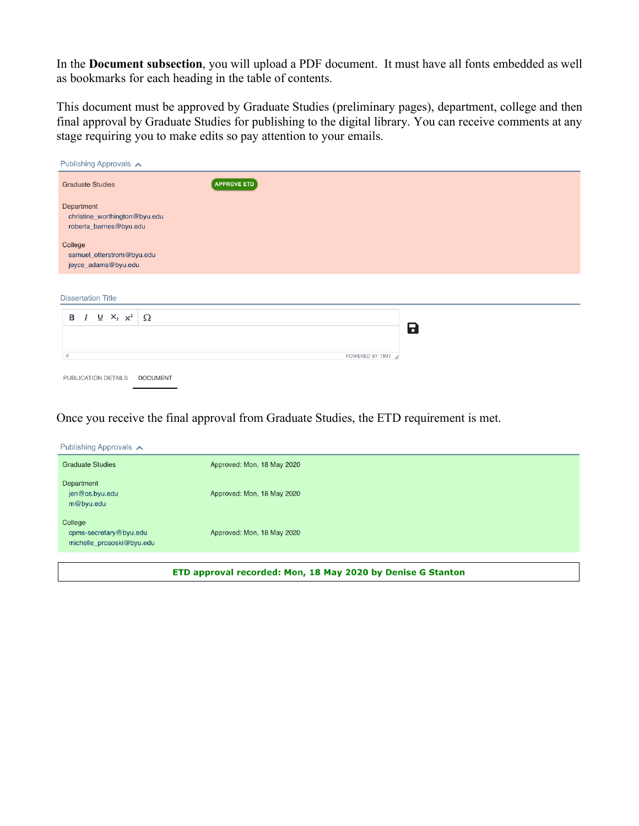In the **Document subsection**, you will upload a PDF document. It must have all fonts embedded as well as bookmarks for each heading in the table of contents.

This document must be approved by Graduate Studies (preliminary pages), department, college and then final approval by Graduate Studies for publishing to the digital library. You can receive comments at any stage requiring you to make edits so pay attention to your emails.

| Publishing Approvals A                                                |                    |                 |  |  |
|-----------------------------------------------------------------------|--------------------|-----------------|--|--|
| <b>Graduate Studies</b>                                               | <b>APPROVE ETD</b> |                 |  |  |
| Department<br>christine_worthington@byu.edu<br>roberta_barnes@byu.edu |                    |                 |  |  |
| College<br>samuel_otterstrom@byu.edu<br>joyce_adams@byu.edu           |                    |                 |  |  |
| <b>Dissertation Title</b>                                             |                    |                 |  |  |
| $\underline{U}$ $X_2$ $X^2$<br>$B$ $I$                                | Ω                  | 8               |  |  |
|                                                                       |                    |                 |  |  |
| P                                                                     |                    | POWERED BY TINY |  |  |
| PUBLICATION DETAILS                                                   | <b>DOCUMENT</b>    |                 |  |  |

Once you receive the final approval from Graduate Studies, the ETD requirement is met.

| Publishing Approvals $\wedge$                                  |                            |  |
|----------------------------------------------------------------|----------------------------|--|
| <b>Graduate Studies</b>                                        | Approved: Mon, 18 May 2020 |  |
| Department<br>jen@cs.byu.edu<br>m@byu.edu                      | Approved: Mon, 18 May 2020 |  |
| College<br>cpms-secretary@byu.edu<br>michelle_prososki@byu.edu | Approved: Mon, 18 May 2020 |  |
|                                                                |                            |  |

ETD approval recorded: Mon, 18 May 2020 by Denise G Stanton